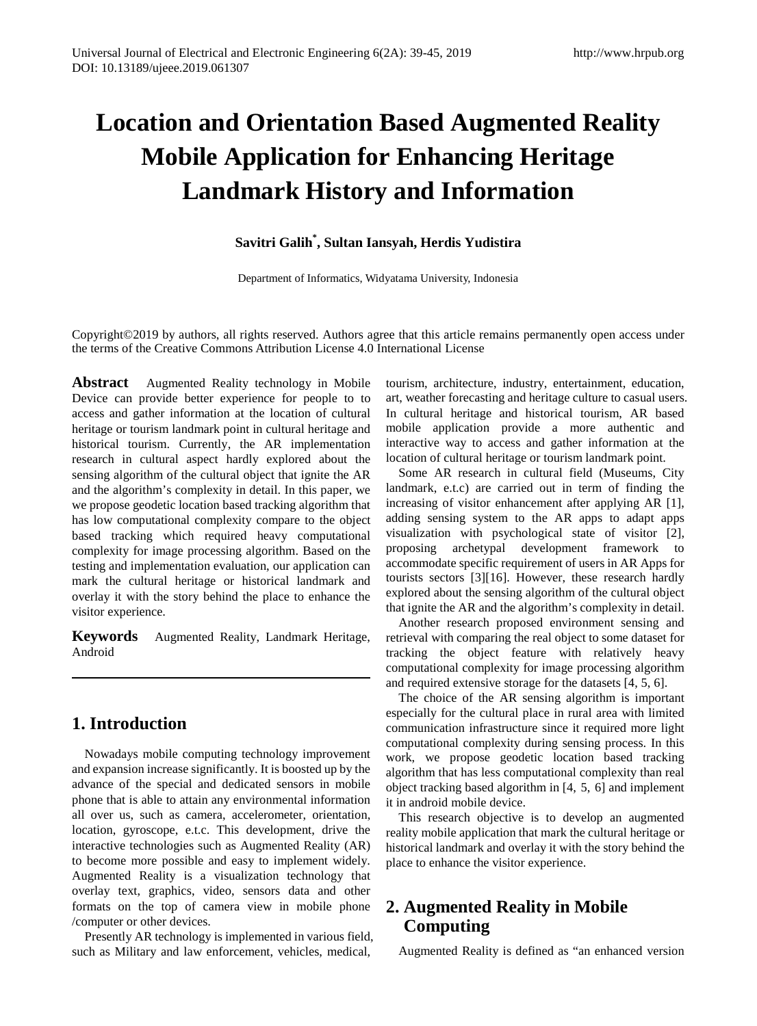# **Location and Orientation Based Augmented Reality Mobile Application for Enhancing Heritage Landmark History and Information**

## **Savitri Galih\* , Sultan Iansyah, Herdis Yudistira**

Department of Informatics, Widyatama University, Indonesia

Copyright©2019 by authors, all rights reserved. Authors agree that this article remains permanently open access under the terms of the Creative Commons Attribution License 4.0 International License

**Abstract** Augmented Reality technology in Mobile Device can provide better experience for people to to access and gather information at the location of cultural heritage or tourism landmark point in cultural heritage and historical tourism. Currently, the AR implementation research in cultural aspect hardly explored about the sensing algorithm of the cultural object that ignite the AR and the algorithm's complexity in detail. In this paper, we we propose geodetic location based tracking algorithm that has low computational complexity compare to the object based tracking which required heavy computational complexity for image processing algorithm. Based on the testing and implementation evaluation, our application can mark the cultural heritage or historical landmark and overlay it with the story behind the place to enhance the visitor experience.

**Keywords** Augmented Reality, Landmark Heritage, Android

## **1. Introduction**

Nowadays mobile computing technology improvement and expansion increase significantly. It is boosted up by the advance of the special and dedicated sensors in mobile phone that is able to attain any environmental information all over us, such as camera, accelerometer, orientation, location, gyroscope, e.t.c. This development, drive the interactive technologies such as Augmented Reality (AR) to become more possible and easy to implement widely. Augmented Reality is a visualization technology that overlay text, graphics, video, sensors data and other formats on the top of camera view in mobile phone /computer or other devices.

Presently AR technology is implemented in various field, such as Military and law enforcement, vehicles, medical,

tourism, architecture, industry, entertainment, education, art, weather forecasting and heritage culture to casual users. In cultural heritage and historical tourism, AR based mobile application provide a more authentic and interactive way to access and gather information at the location of cultural heritage or tourism landmark point.

Some AR research in cultural field (Museums, City landmark, e.t.c) are carried out in term of finding the increasing of visitor enhancement after applying AR [1], adding sensing system to the AR apps to adapt apps visualization with psychological state of visitor [2], proposing archetypal development framework to accommodate specific requirement of users in AR Apps for tourists sectors [3][16]. However, these research hardly explored about the sensing algorithm of the cultural object that ignite the AR and the algorithm's complexity in detail.

Another research proposed environment sensing and retrieval with comparing the real object to some dataset for tracking the object feature with relatively heavy computational complexity for image processing algorithm and required extensive storage for the datasets [4, 5, 6].

The choice of the AR sensing algorithm is important especially for the cultural place in rural area with limited communication infrastructure since it required more light computational complexity during sensing process. In this work, we propose geodetic location based tracking algorithm that has less computational complexity than real object tracking based algorithm in [4, 5, 6] and implement it in android mobile device.

This research objective is to develop an augmented reality mobile application that mark the cultural heritage or historical landmark and overlay it with the story behind the place to enhance the visitor experience.

## **2. Augmented Reality in Mobile Computing**

Augmented Reality is defined as "an enhanced version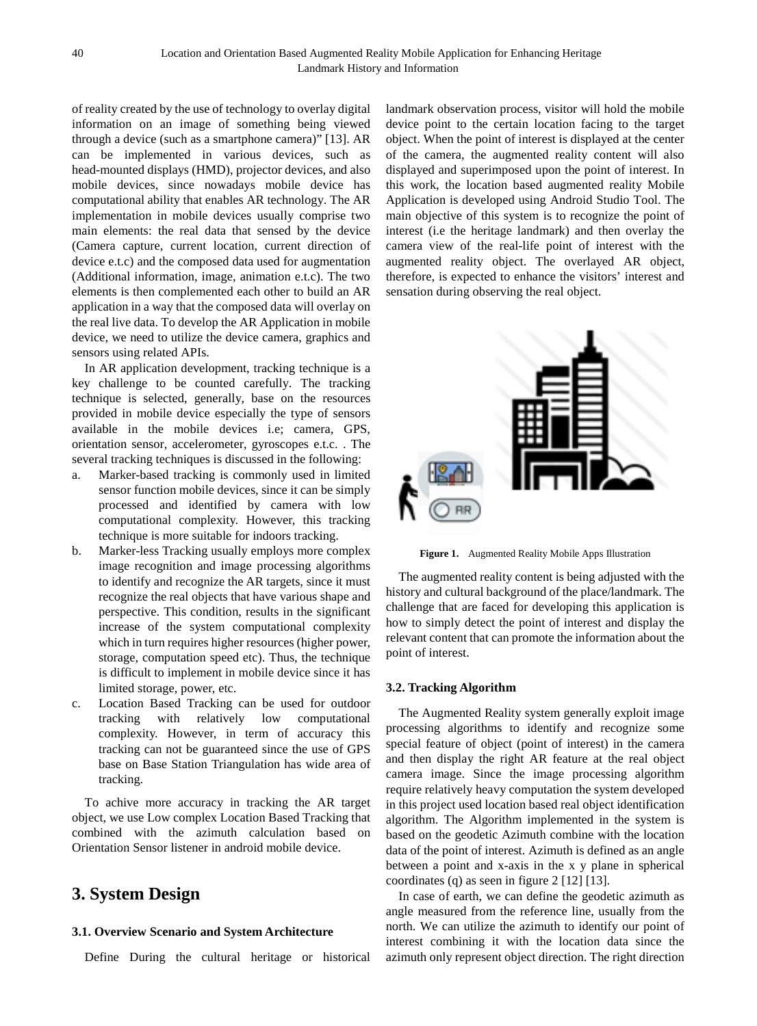of reality created by the use of technology to overlay digital information on an image of something being viewed through a device (such as a smartphone camera)" [13]. AR can be implemented in various devices, such as head-mounted displays (HMD), projector devices, and also mobile devices, since nowadays mobile device has computational ability that enables AR technology. The AR implementation in mobile devices usually comprise two main elements: the real data that sensed by the device (Camera capture, current location, current direction of device e.t.c) and the composed data used for augmentation (Additional information, image, animation e.t.c). The two elements is then complemented each other to build an AR application in a way that the composed data will overlay on the real live data. To develop the AR Application in mobile device, we need to utilize the device camera, graphics and sensors using related APIs.

In AR application development, tracking technique is a key challenge to be counted carefully. The tracking technique is selected, generally, base on the resources provided in mobile device especially the type of sensors available in the mobile devices i.e; camera, GPS, orientation sensor, accelerometer, gyroscopes e.t.c. . The several tracking techniques is discussed in the following:

- a. Marker-based tracking is commonly used in limited sensor function mobile devices, since it can be simply processed and identified by camera with low computational complexity. However, this tracking technique is more suitable for indoors tracking.
- b. Marker-less Tracking usually employs more complex image recognition and image processing algorithms to identify and recognize the AR targets, since it must recognize the real objects that have various shape and perspective. This condition, results in the significant increase of the system computational complexity which in turn requires higher resources (higher power, storage, computation speed etc). Thus, the technique is difficult to implement in mobile device since it has limited storage, power, etc.
- c. Location Based Tracking can be used for outdoor tracking with relatively low computational complexity. However, in term of accuracy this tracking can not be guaranteed since the use of GPS base on Base Station Triangulation has wide area of tracking.

To achive more accuracy in tracking the AR target object, we use Low complex Location Based Tracking that combined with the azimuth calculation based on Orientation Sensor listener in android mobile device.

## **3. System Design**

### **3.1. Overview Scenario and System Architecture**

Define During the cultural heritage or historical

landmark observation process, visitor will hold the mobile device point to the certain location facing to the target object. When the point of interest is displayed at the center of the camera, the augmented reality content will also displayed and superimposed upon the point of interest. In this work, the location based augmented reality Mobile Application is developed using Android Studio Tool. The main objective of this system is to recognize the point of interest (i.e the heritage landmark) and then overlay the camera view of the real-life point of interest with the augmented reality object. The overlayed AR object, therefore, is expected to enhance the visitors' interest and sensation during observing the real object.



**Figure 1.** Augmented Reality Mobile Apps Illustration

The augmented reality content is being adjusted with the history and cultural background of the place/landmark. The challenge that are faced for developing this application is how to simply detect the point of interest and display the relevant content that can promote the information about the point of interest.

### **3.2. Tracking Algorithm**

The Augmented Reality system generally exploit image processing algorithms to identify and recognize some special feature of object (point of interest) in the camera and then display the right AR feature at the real object camera image. Since the image processing algorithm require relatively heavy computation the system developed in this project used location based real object identification algorithm. The Algorithm implemented in the system is based on the geodetic Azimuth combine with the location data of the point of interest. Azimuth is defined as an angle between a point and x-axis in the x y plane in spherical coordinates (q) as seen in figure 2 [12] [13].

In case of earth, we can define the geodetic azimuth as angle measured from the reference line, usually from the north. We can utilize the azimuth to identify our point of interest combining it with the location data since the azimuth only represent object direction. The right direction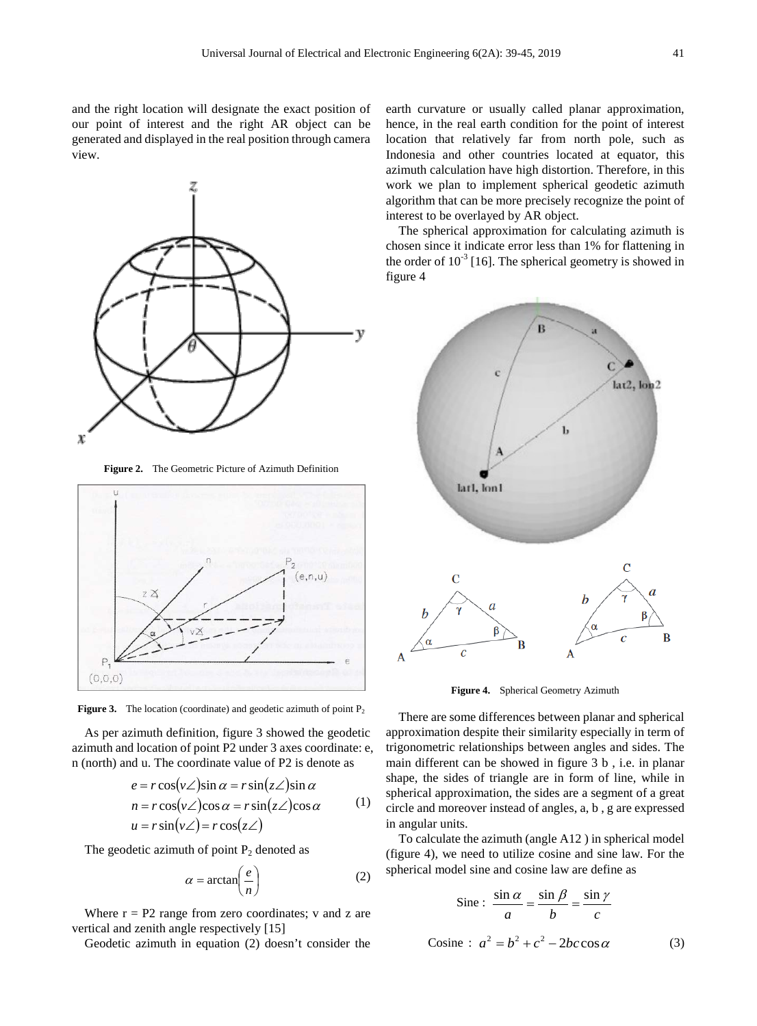and the right location will designate the exact position of our point of interest and the right AR object can be generated and displayed in the real position through camera view.



**Figure 2.** The Geometric Picture of Azimuth Definition



**Figure 3.** The location (coordinate) and geodetic azimuth of point  $P_2$ 

As per azimuth definition, figure 3 showed the geodetic azimuth and location of point P2 under 3 axes coordinate: e, n (north) and u. The coordinate value of P2 is denote as

$$
e = r\cos(\nu\angle)\sin\alpha = r\sin(z\angle)\sin\alpha
$$
  
\n
$$
n = r\cos(\nu\angle)\cos\alpha = r\sin(z\angle)\cos\alpha
$$
 (1)  
\n
$$
u = r\sin(\nu\angle) = r\cos(z\angle)
$$

The geodetic azimuth of point  $P_2$  denoted as

$$
\alpha = \arctan\left(\frac{e}{n}\right) \tag{2}
$$

Where  $r = P2$  range from zero coordinates; v and z are vertical and zenith angle respectively [15]

Geodetic azimuth in equation (2) doesn't consider the

earth curvature or usually called planar approximation, hence, in the real earth condition for the point of interest location that relatively far from north pole, such as Indonesia and other countries located at equator, this azimuth calculation have high distortion. Therefore, in this work we plan to implement spherical geodetic azimuth algorithm that can be more precisely recognize the point of interest to be overlayed by AR object.

The spherical approximation for calculating azimuth is chosen since it indicate error less than 1% for flattening in the order of  $10^{-3}$  [16]. The spherical geometry is showed in figure 4



**Figure 4.** Spherical Geometry Azimuth

There are some differences between planar and spherical approximation despite their similarity especially in term of trigonometric relationships between angles and sides. The main different can be showed in figure 3 b , i.e. in planar shape, the sides of triangle are in form of line, while in spherical approximation, the sides are a segment of a great circle and moreover instead of angles, a, b , g are expressed in angular units.

To calculate the azimuth (angle A12 ) in spherical model (figure 4), we need to utilize cosine and sine law. For the spherical model sine and cosine law are define as

$$
\text{Sine : } \frac{\sin \alpha}{a} = \frac{\sin \beta}{b} = \frac{\sin \gamma}{c}
$$
\n
$$
\text{Cosine : } a^2 = b^2 + c^2 - 2bc \cos \alpha \tag{3}
$$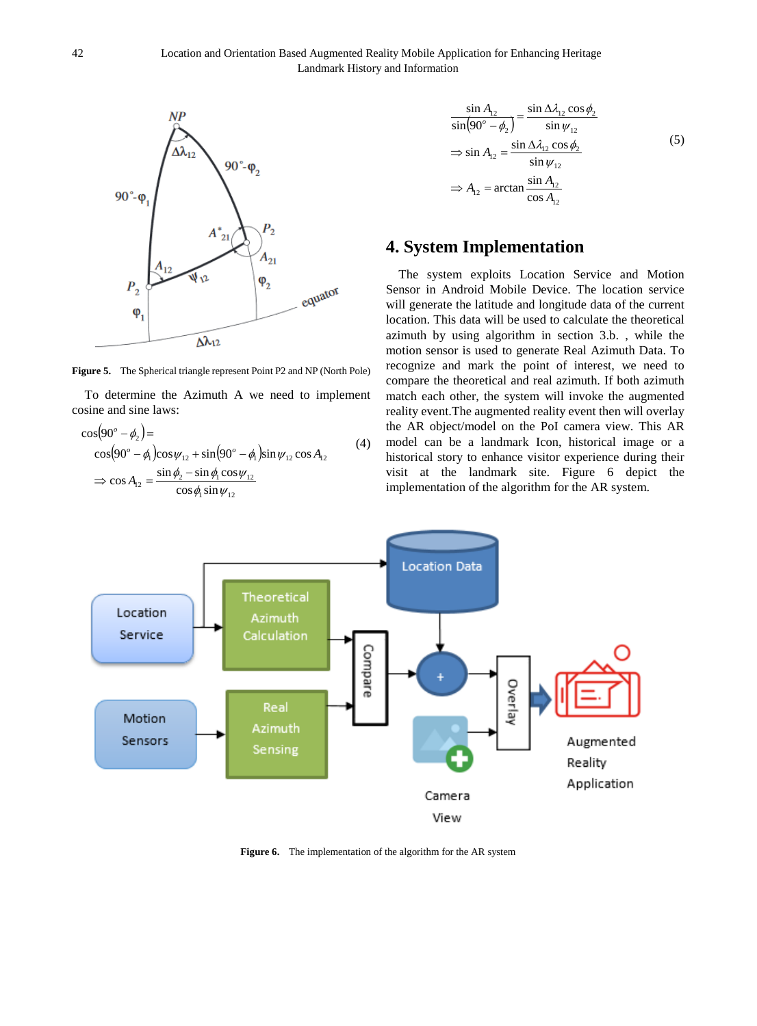

**Figure 5.** The Spherical triangle represent Point P2 and NP (North Pole)

To determine the Azimuth A we need to implement cosine and sine laws:

$$
\cos(90^\circ - \phi_2) =
$$
  
\n
$$
\cos(90^\circ - \phi_1)\cos\psi_{12} + \sin(90^\circ - \phi_1)\sin\psi_{12}\cos A_{12}
$$
  
\n
$$
\Rightarrow \cos A_{12} = \frac{\sin\phi_2 - \sin\phi_1\cos\psi_{12}}{\cos\phi_1\sin\psi_{12}}
$$
\n(4)

$$
\frac{\sin A_{12}}{\sin(90^\circ - \phi_2)} = \frac{\sin \Delta \lambda_{12} \cos \phi_2}{\sin \psi_{12}}
$$
  
\n
$$
\Rightarrow \sin A_{12} = \frac{\sin \Delta \lambda_{12} \cos \phi_2}{\sin \psi_{12}}
$$
  
\n
$$
\Rightarrow A_{12} = \arctan \frac{\sin A_{12}}{\cos A_{12}}
$$
\n(5)

## **4. System Implementation**

The system exploits Location Service and Motion Sensor in Android Mobile Device. The location service will generate the latitude and longitude data of the current location. This data will be used to calculate the theoretical azimuth by using algorithm in section 3.b. , while the motion sensor is used to generate Real Azimuth Data. To recognize and mark the point of interest, we need to compare the theoretical and real azimuth. If both azimuth match each other, the system will invoke the augmented reality event.The augmented reality event then will overlay the AR object/model on the PoI camera view. This AR model can be a landmark Icon, historical image or a historical story to enhance visitor experience during their visit at the landmark site. Figure 6 depict the implementation of the algorithm for the AR system.



**Figure 6.** The implementation of the algorithm for the AR system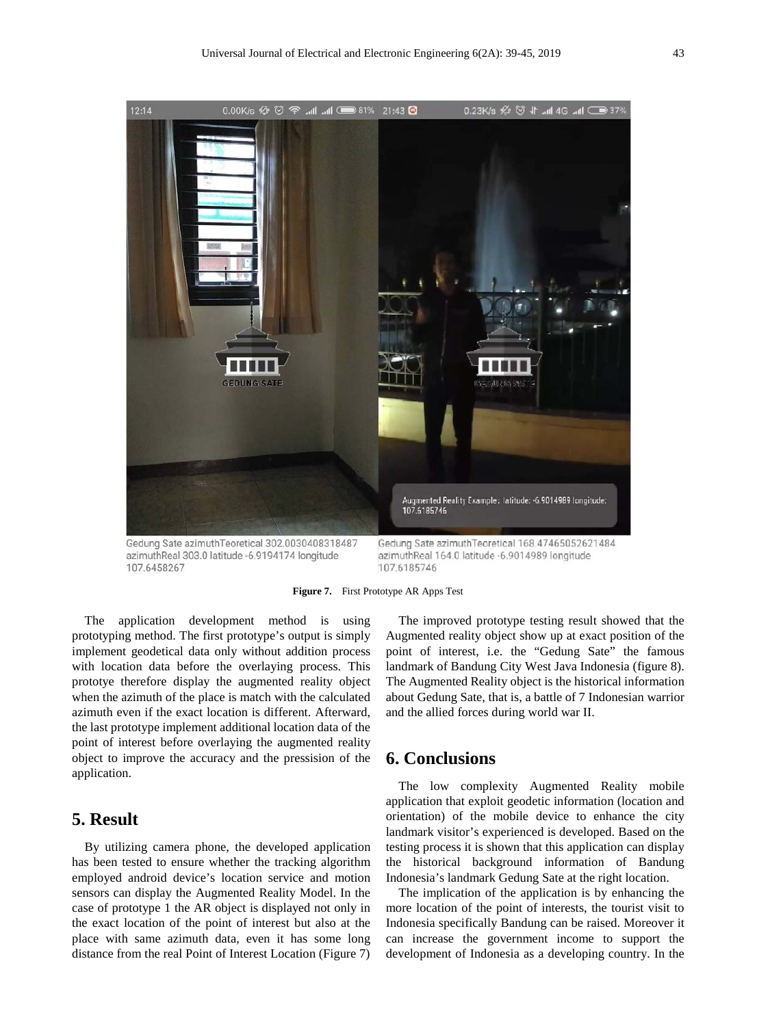

azimuthReal 303.0 latitude -6.9194174 longitude 107.6458267

azimuthReal 164.0 latitude -6.9014989 longitude 107.6185746

**Figure 7.** First Prototype AR Apps Test

The application development method is using prototyping method. The first prototype's output is simply implement geodetical data only without addition process with location data before the overlaying process. This prototye therefore display the augmented reality object when the azimuth of the place is match with the calculated azimuth even if the exact location is different. Afterward, the last prototype implement additional location data of the point of interest before overlaying the augmented reality object to improve the accuracy and the pressision of the application.

## **5. Result**

By utilizing camera phone, the developed application has been tested to ensure whether the tracking algorithm employed android device's location service and motion sensors can display the Augmented Reality Model. In the case of prototype 1 the AR object is displayed not only in the exact location of the point of interest but also at the place with same azimuth data, even it has some long distance from the real Point of Interest Location (Figure 7)

The improved prototype testing result showed that the Augmented reality object show up at exact position of the point of interest, i.e. the "Gedung Sate" the famous landmark of Bandung City West Java Indonesia (figure 8). The Augmented Reality object is the historical information about Gedung Sate, that is, a battle of 7 Indonesian warrior and the allied forces during world war II.

## **6. Conclusions**

The low complexity Augmented Reality mobile application that exploit geodetic information (location and orientation) of the mobile device to enhance the city landmark visitor's experienced is developed. Based on the testing process it is shown that this application can display the historical background information of Bandung Indonesia's landmark Gedung Sate at the right location.

The implication of the application is by enhancing the more location of the point of interests, the tourist visit to Indonesia specifically Bandung can be raised. Moreover it can increase the government income to support the development of Indonesia as a developing country. In the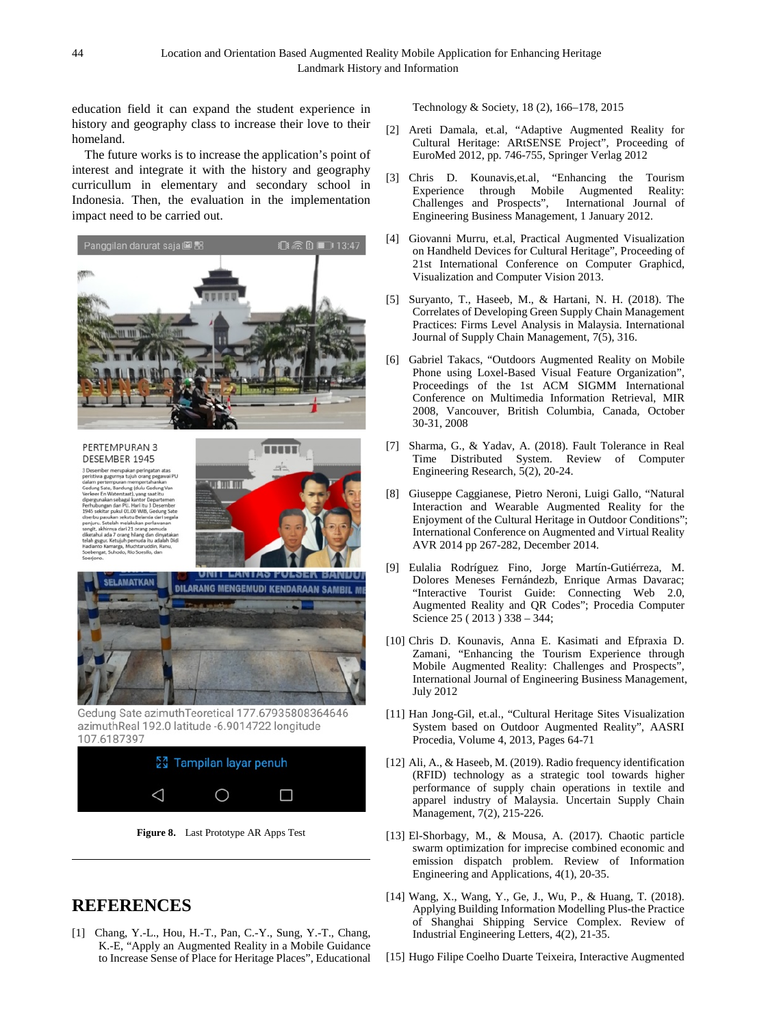education field it can expand the student experience in history and geography class to increase their love to their homeland.

The future works is to increase the application's point of interest and integrate it with the history and geography curricullum in elementary and secondary school in Indonesia. Then, the evaluation in the implementation impact need to be carried out.



#### PERTEMPURAN 3 DESEMBER 1945

3 Desember merupakan peringatan at<br>peristiwa gugurnya tujuh orang pegaw aat iti ul 01.00 WIB. dari 21 o





Gedung Sate azimuthTeoretical 177.67935808364646 azimuthReal 192.0 latitude -6.9014722 longitude 107.6187397





## **REFERENCES**

[1] Chang, Y.-L., Hou, H.-T., Pan, C.-Y., Sung, Y.-T., Chang, K.-E, "Apply an Augmented Reality in a Mobile Guidance to Increase Sense of Place for Heritage Places", Educational Technology & Society, 18 (2), 166–178, 2015

- [2] Areti Damala, et.al, "Adaptive Augmented Reality for Cultural Heritage: ARtSENSE Project", Proceeding of EuroMed 2012, pp. 746-755, Springer Verlag 2012
- [3] Chris D. Kounavis,et.al, "Enhancing the Tourism Experience through Mobile Augmented Reality: Challenges and Prospects", International Journal of Engineering Business Management, 1 January 2012.
- [4] Giovanni Murru, et.al, Practical Augmented Visualization on Handheld Devices for Cultural Heritage", Proceeding of 21st International Conference on Computer Graphicd, Visualization and Computer Vision 2013.
- [5] Suryanto, T., Haseeb, M., & Hartani, N. H. (2018). The Correlates of Developing Green Supply Chain Management Practices: Firms Level Analysis in Malaysia. International Journal of Supply Chain Management, 7(5), 316.
- [6] Gabriel Takacs, "Outdoors Augmented Reality on Mobile Phone using Loxel-Based Visual Feature Organization", Proceedings of the 1st ACM SIGMM International Conference on Multimedia Information Retrieval, MIR 2008, Vancouver, British Columbia, Canada, October 30-31, 2008
- [7] Sharma, G., & Yadav, A. (2018). Fault Tolerance in Real Time Distributed System. Review of Computer Engineering Research, 5(2), 20-24.
- [8] Giuseppe Caggianese, Pietro Neroni, Luigi Gallo, "Natural Interaction and Wearable Augmented Reality for the Enjoyment of the Cultural Heritage in Outdoor Conditions"; International Conference on Augmented and Virtual Reality AVR 2014 pp 267-282, December 2014.
- [9] Eulalia Rodríguez Fino, Jorge Martín-Gutiérreza, M. Dolores Meneses Fernándezb, Enrique Armas Davarac; "Interactive Tourist Guide: Connecting Web 2.0, Augmented Reality and QR Codes"; Procedia Computer Science 25 ( 2013 ) 338 – 344;
- [10] Chris D. Kounavis, Anna E. Kasimati and Efpraxia D. Zamani, "Enhancing the Tourism Experience through Mobile Augmented Reality: Challenges and Prospects", International Journal of Engineering Business Management, July 2012
- [11] Han Jong-Gil, et.al., "Cultural Heritage Sites Visualization System based on Outdoor Augmented Reality", AASRI Procedia, Volume 4, 2013, Pages 64-71
- [12] Ali, A., & Haseeb, M. (2019). Radio frequency identification (RFID) technology as a strategic tool towards higher performance of supply chain operations in textile and apparel industry of Malaysia. Uncertain Supply Chain Management, 7(2), 215-226.
- [13] El-Shorbagy, M., & Mousa, A. (2017). Chaotic particle swarm optimization for imprecise combined economic and emission dispatch problem. Review of Information Engineering and Applications, 4(1), 20-35.
- [14] Wang, X., Wang, Y., Ge, J., Wu, P., & Huang, T. (2018). Applying Building Information Modelling Plus-the Practice of Shanghai Shipping Service Complex. Review of Industrial Engineering Letters, 4(2), 21-35.
- [15] Hugo Filipe Coelho Duarte Teixeira, Interactive Augmented